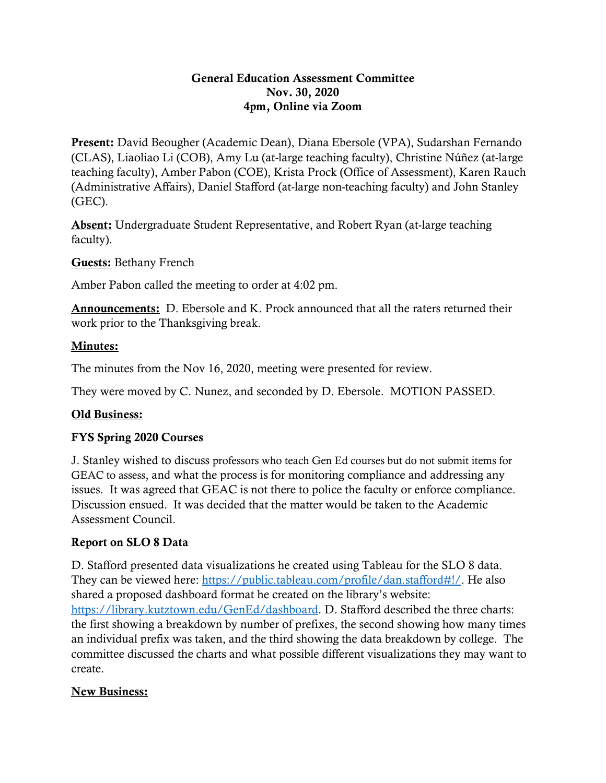#### General Education Assessment Committee Nov. 30, 2020 4pm, Online via Zoom

Present: David Beougher (Academic Dean), Diana Ebersole (VPA), Sudarshan Fernando (CLAS), Liaoliao Li (COB), Amy Lu (at-large teaching faculty), Christine Núñez (at-large teaching faculty), Amber Pabon (COE), Krista Prock (Office of Assessment), Karen Rauch (Administrative Affairs), Daniel Stafford (at-large non-teaching faculty) and John Stanley (GEC).

Absent: Undergraduate Student Representative, and Robert Ryan (at-large teaching faculty).

Guests: Bethany French

Amber Pabon called the meeting to order at 4:02 pm.

Announcements: D. Ebersole and K. Prock announced that all the raters returned their work prior to the Thanksgiving break.

#### Minutes:

The minutes from the Nov 16, 2020, meeting were presented for review.

They were moved by C. Nunez, and seconded by D. Ebersole. MOTION PASSED.

## Old Business:

## FYS Spring 2020 Courses

J. Stanley wished to discuss professors who teach Gen Ed courses but do not submit items for GEAC to assess, and what the process is for monitoring compliance and addressing any issues. It was agreed that GEAC is not there to police the faculty or enforce compliance. Discussion ensued. It was decided that the matter would be taken to the Academic Assessment Council.

## Report on SLO 8 Data

D. Stafford presented data visualizations he created using Tableau for the SLO 8 data. They can be viewed here: [https://public.tableau.com/profile/dan.stafford#!/.](https://public.tableau.com/profile/dan.stafford#!/) He also shared a proposed dashboard format he created on the library's website: [https://library.kutztown.edu/GenEd/dashboard.](https://library.kutztown.edu/GenEd/dashboard) D. Stafford described the three charts: the first showing a breakdown by number of prefixes, the second showing how many times an individual prefix was taken, and the third showing the data breakdown by college. The committee discussed the charts and what possible different visualizations they may want to create.

## New Business: